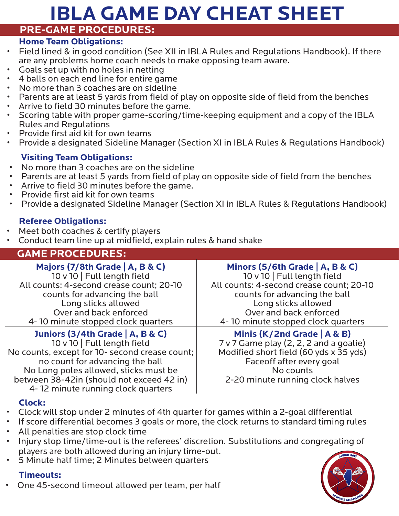# **IBLA GAME DAY CHEAT SHEET**

#### **PRE-GAME PROCEDURES:**

#### **Home Team Obligations:**

- Field lined & in good condition (See XII in IBLA Rules and Regulations Handbook). If there are any problems home coach needs to make opposing team aware.
- Goals set up with no holes in netting<br>• A holls on oach and line for ontire gay
- 4 balls on each end line for entire game
- No more than 3 coaches are on sideline
- Parents are at least 5 yards from field of play on opposite side of field from the benches
- Arrive to field 30 minutes before the game.
- Scoring table with proper game-scoring/time-keeping equipment and a copy of the IBLA Rules and Regulations
- Provide first aid kit for own teams
- Provide a designated Sideline Manager (Section XI in IBLA Rules & Regulations Handbook)

# **Visiting Team Obligations:**

- 
- No more than 3 coaches are on the sideline<br>• Parents are at least 5 yards from field of play on opposite side of field from the benches<br>• Arrive to field 30 minutes before the game.<br>• Provide first aid kit for own teams<br>
- 
- 
- 

# **Referee Obligations:**

- 
- Meet both coaches & certify players Conduct team line up at midfield, explain rules & hand shake

# **GAME PROCEDURES:**

# **Majors (7/8th Grade | A, B & C)**

10 v 10 | Full length field All counts: 4-second crease count; 20-10 counts for advancing the ball Long sticks allowed Over and back enforced 4- 10 minute stopped clock quarters

# **Juniors (3/4th Grade | A, B & C)**

10 v 10 | Full length field No counts, except for 10- second crease count; no count for advancing the ball No Long poles allowed, sticks must be between 38-42in (should not exceed 42 in) 4- 12 minute running clock quarters

# **Minors (5/6th Grade | A, B & C)**

10 v 10 | Full length field All counts: 4-second crease count; 20-10 counts for advancing the ball Long sticks allowed Over and back enforced 4- 10 minute stopped clock quarters

#### **Minis (K/2nd Grade | A & B)**

7 v 7 Game play (2, 2, 2 and a goalie) Modified short field (60 yds x 35 yds) Faceoff after every goal No counts 2-20 minute running clock halves

#### **Clock:**

- Clock will stop under 2 minutes of 4th quarter for games within a 2-goal differential
- If score differential becomes 3 goals or more, the clock returns to standard timing rules
- All penalties are stop clock time
- Injury stop time/time-out is the referees' discretion. Substitutions and congregating of players are both allowed during an injury time-out. • 5 Minute half time; 2 Minutes between quarters
- 

# **Timeouts:**

• One 45-second timeout allowed per team, per half